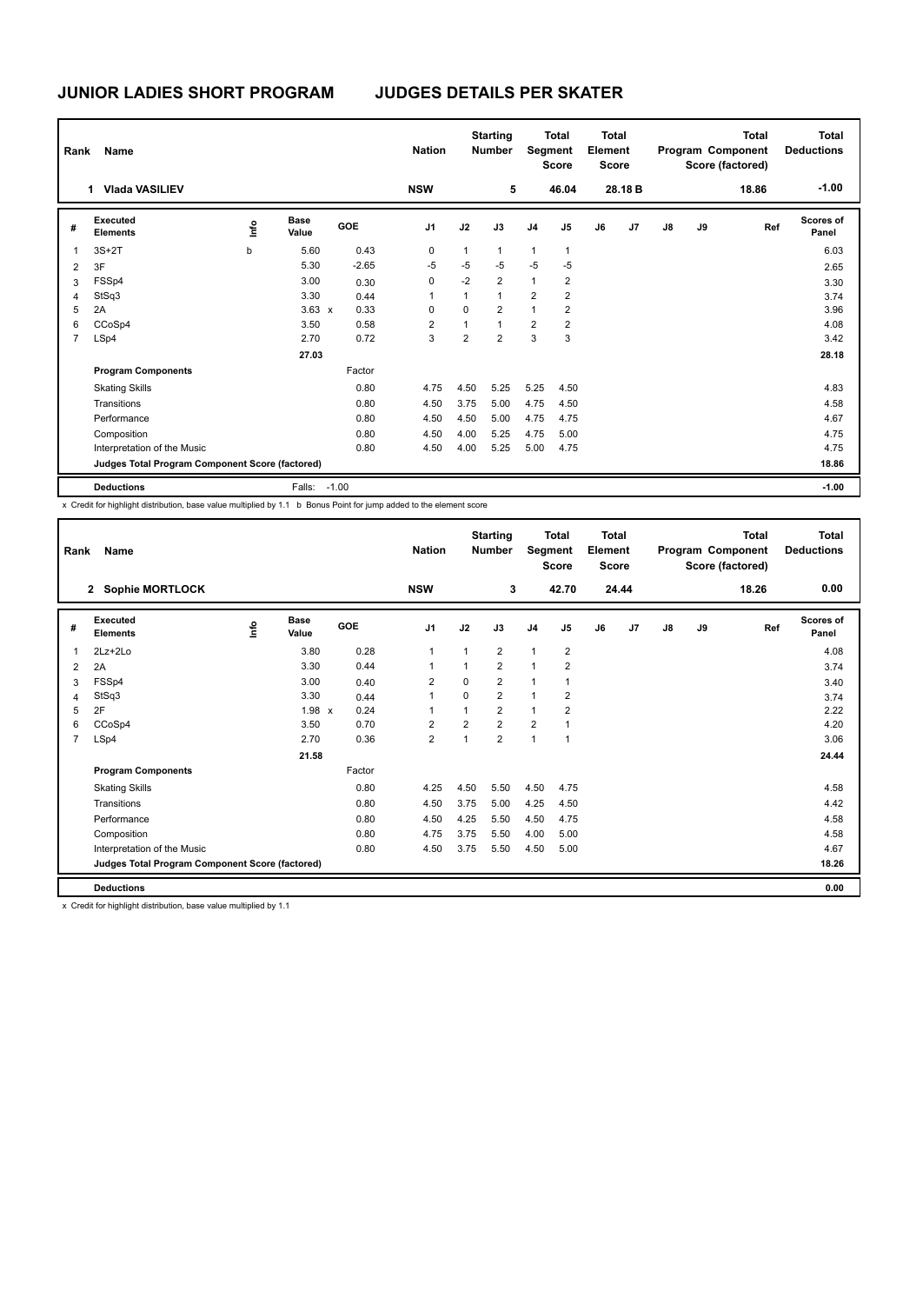| Name<br>Rank   |                                                 |   |                      |            | <b>Nation</b>  |                | <b>Starting</b><br><b>Number</b> |                | <b>Total</b><br>Segment<br><b>Score</b> |    | <b>Total</b><br>Element<br><b>Score</b> | Program Component |    | Total<br>Score (factored) | <b>Total</b><br><b>Deductions</b> |
|----------------|-------------------------------------------------|---|----------------------|------------|----------------|----------------|----------------------------------|----------------|-----------------------------------------|----|-----------------------------------------|-------------------|----|---------------------------|-----------------------------------|
|                | <b>Vlada VASILIEV</b><br>1.                     |   |                      |            | <b>NSW</b>     |                | 5                                |                | 46.04                                   |    | 28.18 B                                 |                   |    | 18.86                     | $-1.00$                           |
| #              | Executed<br><b>Elements</b>                     | e | <b>Base</b><br>Value | <b>GOE</b> | J <sub>1</sub> | J2             | J3                               | J <sub>4</sub> | J <sub>5</sub>                          | J6 | J7                                      | J8                | J9 | Ref                       | <b>Scores of</b><br>Panel         |
| 1              | $3S+2T$                                         | b | 5.60                 | 0.43       | $\mathbf 0$    | $\mathbf{1}$   | $\mathbf{1}$                     | $\mathbf{1}$   | $\mathbf{1}$                            |    |                                         |                   |    |                           | 6.03                              |
| 2              | 3F                                              |   | 5.30                 | $-2.65$    | $-5$           | -5             | $-5$                             | $-5$           | $-5$                                    |    |                                         |                   |    |                           | 2.65                              |
| 3              | FSSp4                                           |   | 3.00                 | 0.30       | 0              | $-2$           | $\overline{2}$                   | $\mathbf{1}$   | 2                                       |    |                                         |                   |    |                           | 3.30                              |
| 4              | StSq3                                           |   | 3.30                 | 0.44       | 1              | 1              | $\mathbf{1}$                     | $\overline{2}$ | $\overline{2}$                          |    |                                         |                   |    |                           | 3.74                              |
| 5              | 2A                                              |   | $3.63 \times$        | 0.33       | 0              | 0              | 2                                | $\mathbf{1}$   | 2                                       |    |                                         |                   |    |                           | 3.96                              |
| 6              | CCoSp4                                          |   | 3.50                 | 0.58       | $\overline{2}$ | 1              | $\overline{1}$                   | $\overline{2}$ | 2                                       |    |                                         |                   |    |                           | 4.08                              |
| $\overline{7}$ | LSp4                                            |   | 2.70                 | 0.72       | 3              | $\overline{2}$ | $\overline{2}$                   | 3              | 3                                       |    |                                         |                   |    |                           | 3.42                              |
|                |                                                 |   | 27.03                |            |                |                |                                  |                |                                         |    |                                         |                   |    |                           | 28.18                             |
|                | <b>Program Components</b>                       |   |                      | Factor     |                |                |                                  |                |                                         |    |                                         |                   |    |                           |                                   |
|                | <b>Skating Skills</b>                           |   |                      | 0.80       | 4.75           | 4.50           | 5.25                             | 5.25           | 4.50                                    |    |                                         |                   |    |                           | 4.83                              |
|                | Transitions                                     |   |                      | 0.80       | 4.50           | 3.75           | 5.00                             | 4.75           | 4.50                                    |    |                                         |                   |    |                           | 4.58                              |
|                | Performance                                     |   |                      | 0.80       | 4.50           | 4.50           | 5.00                             | 4.75           | 4.75                                    |    |                                         |                   |    |                           | 4.67                              |
|                | Composition                                     |   |                      | 0.80       | 4.50           | 4.00           | 5.25                             | 4.75           | 5.00                                    |    |                                         |                   |    |                           | 4.75                              |
|                | Interpretation of the Music                     |   |                      | 0.80       | 4.50           | 4.00           | 5.25                             | 5.00           | 4.75                                    |    |                                         |                   |    |                           | 4.75                              |
|                | Judges Total Program Component Score (factored) |   |                      |            |                |                |                                  |                |                                         |    |                                         |                   |    |                           | 18.86                             |
|                | <b>Deductions</b>                               |   | Falls:               | $-1.00$    |                |                |                                  |                |                                         |    |                                         |                   |    |                           | $-1.00$                           |

x Credit for highlight distribution, base value multiplied by 1.1 b Bonus Point for jump added to the element score

| Rank           | <b>Name</b><br><b>Sophie MORTLOCK</b><br>$\mathbf{2}$ |    |                      |        | <b>Nation</b><br><b>NSW</b> |                | <b>Starting</b><br><b>Number</b><br>3 |                | <b>Total</b><br>Segment<br><b>Score</b><br>42.70 |    | <b>Total</b><br>Element<br><b>Score</b><br>24.44 |    | Program Component<br>Score (factored) |     | <b>Total</b><br><b>Deductions</b><br>0.00 |
|----------------|-------------------------------------------------------|----|----------------------|--------|-----------------------------|----------------|---------------------------------------|----------------|--------------------------------------------------|----|--------------------------------------------------|----|---------------------------------------|-----|-------------------------------------------|
|                |                                                       |    |                      |        |                             |                |                                       |                |                                                  |    |                                                  |    |                                       |     |                                           |
| #              | Executed<br><b>Elements</b>                           | ١π | <b>Base</b><br>Value | GOE    | J <sub>1</sub>              | J2             | J3                                    | J <sub>4</sub> | J <sub>5</sub>                                   | J6 | J <sub>7</sub>                                   | J8 | J9                                    | Ref | Scores of<br>Panel                        |
| $\overline{1}$ | $2Lz + 2Lo$                                           |    | 3.80                 | 0.28   | $\mathbf{1}$                | $\overline{1}$ | $\overline{2}$                        | $\mathbf{1}$   | $\overline{2}$                                   |    |                                                  |    |                                       |     | 4.08                                      |
| $\overline{2}$ | 2A                                                    |    | 3.30                 | 0.44   | 1                           | 1              | $\overline{2}$                        | $\mathbf{1}$   | $\overline{2}$                                   |    |                                                  |    |                                       |     | 3.74                                      |
| 3              | FSSp4                                                 |    | 3.00                 | 0.40   | 2                           | 0              | $\overline{2}$                        | 1              | 1                                                |    |                                                  |    |                                       |     | 3.40                                      |
| $\overline{4}$ | StSq3                                                 |    | 3.30                 | 0.44   | 1                           | $\Omega$       | $\overline{2}$                        | $\mathbf{1}$   | $\overline{2}$                                   |    |                                                  |    |                                       |     | 3.74                                      |
| 5              | 2F                                                    |    | $1.98 \times$        | 0.24   | 1                           | $\mathbf{1}$   | $\overline{2}$                        | $\mathbf{1}$   | $\overline{2}$                                   |    |                                                  |    |                                       |     | 2.22                                      |
| 6              | CCoSp4                                                |    | 3.50                 | 0.70   | $\overline{2}$              | $\overline{2}$ | $\overline{2}$                        | $\overline{2}$ | 1                                                |    |                                                  |    |                                       |     | 4.20                                      |
| $\overline{7}$ | LSp4                                                  |    | 2.70                 | 0.36   | $\overline{2}$              | 1              | $\overline{2}$                        | $\overline{1}$ | $\overline{1}$                                   |    |                                                  |    |                                       |     | 3.06                                      |
|                |                                                       |    | 21.58                |        |                             |                |                                       |                |                                                  |    |                                                  |    |                                       |     | 24.44                                     |
|                | <b>Program Components</b>                             |    |                      | Factor |                             |                |                                       |                |                                                  |    |                                                  |    |                                       |     |                                           |
|                | <b>Skating Skills</b>                                 |    |                      | 0.80   | 4.25                        | 4.50           | 5.50                                  | 4.50           | 4.75                                             |    |                                                  |    |                                       |     | 4.58                                      |
|                | Transitions                                           |    |                      | 0.80   | 4.50                        | 3.75           | 5.00                                  | 4.25           | 4.50                                             |    |                                                  |    |                                       |     | 4.42                                      |
|                | Performance                                           |    |                      | 0.80   | 4.50                        | 4.25           | 5.50                                  | 4.50           | 4.75                                             |    |                                                  |    |                                       |     | 4.58                                      |
|                | Composition                                           |    |                      | 0.80   | 4.75                        | 3.75           | 5.50                                  | 4.00           | 5.00                                             |    |                                                  |    |                                       |     | 4.58                                      |
|                | Interpretation of the Music                           |    |                      | 0.80   | 4.50                        | 3.75           | 5.50                                  | 4.50           | 5.00                                             |    |                                                  |    |                                       |     | 4.67                                      |
|                | Judges Total Program Component Score (factored)       |    |                      |        |                             |                |                                       |                |                                                  |    |                                                  |    |                                       |     | 18.26                                     |
|                | <b>Deductions</b>                                     |    |                      |        |                             |                |                                       |                |                                                  |    |                                                  |    |                                       |     | 0.00                                      |

x Credit for highlight distribution, base value multiplied by 1.1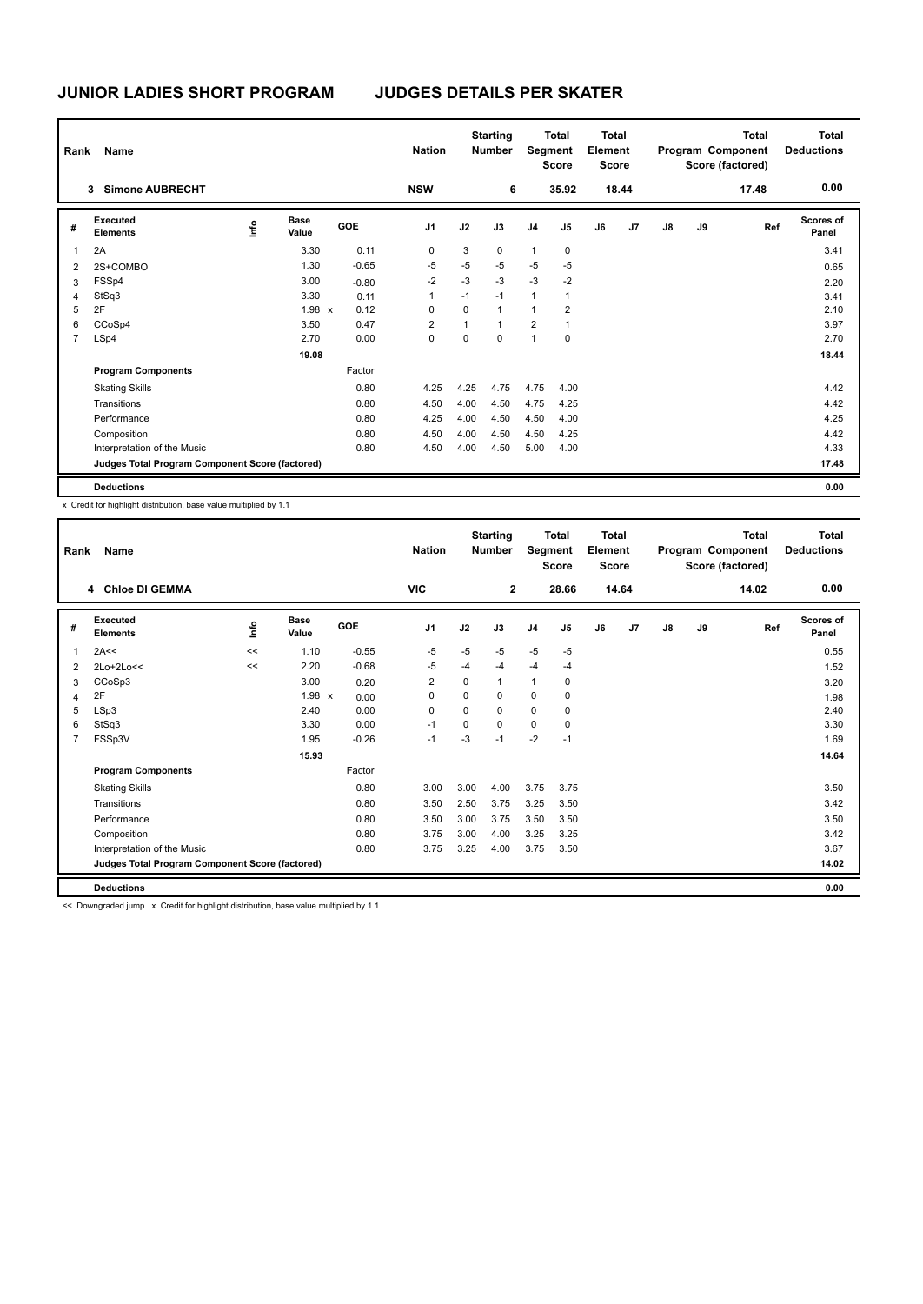| Name<br>Rank   |                                                 |      |                      |         | <b>Nation</b>  |      | <b>Starting</b><br><b>Number</b> |                | <b>Total</b><br>Segment<br><b>Score</b> |    | Total<br>Element<br><b>Score</b> |    |    | <b>Total</b><br>Program Component<br>Score (factored) | <b>Total</b><br><b>Deductions</b> |
|----------------|-------------------------------------------------|------|----------------------|---------|----------------|------|----------------------------------|----------------|-----------------------------------------|----|----------------------------------|----|----|-------------------------------------------------------|-----------------------------------|
|                | <b>Simone AUBRECHT</b><br>3                     |      |                      |         | <b>NSW</b>     |      | 6                                |                | 35.92                                   |    | 18.44                            |    |    | 17.48                                                 | 0.00                              |
| #              | Executed<br><b>Elements</b>                     | ١nfo | <b>Base</b><br>Value | GOE     | J <sub>1</sub> | J2   | J3                               | J <sub>4</sub> | J <sub>5</sub>                          | J6 | J7                               | J8 | J9 | Ref                                                   | <b>Scores of</b><br>Panel         |
| 1              | 2A                                              |      | 3.30                 | 0.11    | 0              | 3    | $\mathbf 0$                      | $\mathbf{1}$   | $\pmb{0}$                               |    |                                  |    |    |                                                       | 3.41                              |
| $\overline{2}$ | 2S+COMBO                                        |      | 1.30                 | $-0.65$ | $-5$           | $-5$ | $-5$                             | $-5$           | $-5$                                    |    |                                  |    |    |                                                       | 0.65                              |
| 3              | FSSp4                                           |      | 3.00                 | $-0.80$ | $-2$           | $-3$ | $-3$                             | $-3$           | $-2$                                    |    |                                  |    |    |                                                       | 2.20                              |
| $\overline{4}$ | StSq3                                           |      | 3.30                 | 0.11    | 1              | $-1$ | $-1$                             | $\mathbf{1}$   | 1                                       |    |                                  |    |    |                                                       | 3.41                              |
| 5              | 2F                                              |      | $1.98 \times$        | 0.12    | 0              | 0    | $\mathbf{1}$                     | 1              | $\overline{2}$                          |    |                                  |    |    |                                                       | 2.10                              |
| 6              | CCoSp4                                          |      | 3.50                 | 0.47    | $\overline{2}$ | 1    | $\overline{1}$                   | $\overline{2}$ | 1                                       |    |                                  |    |    |                                                       | 3.97                              |
| $\overline{7}$ | LSp4                                            |      | 2.70                 | 0.00    | 0              | 0    | 0                                | $\overline{1}$ | 0                                       |    |                                  |    |    |                                                       | 2.70                              |
|                |                                                 |      | 19.08                |         |                |      |                                  |                |                                         |    |                                  |    |    |                                                       | 18.44                             |
|                | <b>Program Components</b>                       |      |                      | Factor  |                |      |                                  |                |                                         |    |                                  |    |    |                                                       |                                   |
|                | <b>Skating Skills</b>                           |      |                      | 0.80    | 4.25           | 4.25 | 4.75                             | 4.75           | 4.00                                    |    |                                  |    |    |                                                       | 4.42                              |
|                | Transitions                                     |      |                      | 0.80    | 4.50           | 4.00 | 4.50                             | 4.75           | 4.25                                    |    |                                  |    |    |                                                       | 4.42                              |
|                | Performance                                     |      |                      | 0.80    | 4.25           | 4.00 | 4.50                             | 4.50           | 4.00                                    |    |                                  |    |    |                                                       | 4.25                              |
|                | Composition                                     |      |                      | 0.80    | 4.50           | 4.00 | 4.50                             | 4.50           | 4.25                                    |    |                                  |    |    |                                                       | 4.42                              |
|                | Interpretation of the Music                     |      |                      | 0.80    | 4.50           | 4.00 | 4.50                             | 5.00           | 4.00                                    |    |                                  |    |    |                                                       | 4.33                              |
|                | Judges Total Program Component Score (factored) |      |                      |         |                |      |                                  |                |                                         |    |                                  |    |    |                                                       | 17.48                             |
|                | <b>Deductions</b>                               |      |                      |         |                |      |                                  |                |                                         |    |                                  |    |    |                                                       | 0.00                              |

x Credit for highlight distribution, base value multiplied by 1.1

| Rank           | Name                                            |       |                      |         | <b>Nation</b>  | <b>Starting</b><br><b>Number</b> |                | <b>Total</b><br>Segment<br><b>Score</b> |                | <b>Total</b><br>Element<br><b>Score</b> |       | Program Component |    | <b>Total</b><br>Score (factored) | <b>Total</b><br><b>Deductions</b> |
|----------------|-------------------------------------------------|-------|----------------------|---------|----------------|----------------------------------|----------------|-----------------------------------------|----------------|-----------------------------------------|-------|-------------------|----|----------------------------------|-----------------------------------|
|                | 4 Chloe DI GEMMA                                |       |                      |         | <b>VIC</b>     |                                  | $\overline{2}$ |                                         | 28.66          |                                         | 14.64 |                   |    | 14.02                            | 0.00                              |
| #              | Executed<br><b>Elements</b>                     | ١f    | <b>Base</b><br>Value | GOE     | J <sub>1</sub> | J2                               | J3             | J <sub>4</sub>                          | J <sub>5</sub> | J6                                      | J7    | J8                | J9 | Ref                              | <b>Scores of</b><br>Panel         |
| 1              | 2A<<                                            | $\,<$ | 1.10                 | $-0.55$ | $-5$           | $-5$                             | $-5$           | $-5$                                    | $-5$           |                                         |       |                   |    |                                  | 0.55                              |
| 2              | 2Lo+2Lo<<                                       | <<    | 2.20                 | $-0.68$ | -5             | $-4$                             | $-4$           | $-4$                                    | $-4$           |                                         |       |                   |    |                                  | 1.52                              |
| 3              | CCoSp3                                          |       | 3.00                 | 0.20    | $\overline{2}$ | 0                                | 1              | $\mathbf{1}$                            | 0              |                                         |       |                   |    |                                  | 3.20                              |
| $\overline{4}$ | 2F                                              |       | 1.98 x               | 0.00    | 0              | 0                                | $\Omega$       | 0                                       | 0              |                                         |       |                   |    |                                  | 1.98                              |
| 5              | LSp3                                            |       | 2.40                 | 0.00    | 0              | 0                                | 0              | 0                                       | 0              |                                         |       |                   |    |                                  | 2.40                              |
| 6              | StSq3                                           |       | 3.30                 | 0.00    | $-1$           | $\Omega$                         | $\Omega$       | $\Omega$                                | 0              |                                         |       |                   |    |                                  | 3.30                              |
| $\overline{7}$ | FSSp3V                                          |       | 1.95                 | $-0.26$ | $-1$           | -3                               | $-1$           | $-2$                                    | $-1$           |                                         |       |                   |    |                                  | 1.69                              |
|                |                                                 |       | 15.93                |         |                |                                  |                |                                         |                |                                         |       |                   |    |                                  | 14.64                             |
|                | <b>Program Components</b>                       |       |                      | Factor  |                |                                  |                |                                         |                |                                         |       |                   |    |                                  |                                   |
|                | <b>Skating Skills</b>                           |       |                      | 0.80    | 3.00           | 3.00                             | 4.00           | 3.75                                    | 3.75           |                                         |       |                   |    |                                  | 3.50                              |
|                | Transitions                                     |       |                      | 0.80    | 3.50           | 2.50                             | 3.75           | 3.25                                    | 3.50           |                                         |       |                   |    |                                  | 3.42                              |
|                | Performance                                     |       |                      | 0.80    | 3.50           | 3.00                             | 3.75           | 3.50                                    | 3.50           |                                         |       |                   |    |                                  | 3.50                              |
|                | Composition                                     |       |                      | 0.80    | 3.75           | 3.00                             | 4.00           | 3.25                                    | 3.25           |                                         |       |                   |    |                                  | 3.42                              |
|                | Interpretation of the Music                     |       |                      | 0.80    | 3.75           | 3.25                             | 4.00           | 3.75                                    | 3.50           |                                         |       |                   |    |                                  | 3.67                              |
|                | Judges Total Program Component Score (factored) |       |                      |         |                |                                  |                |                                         |                |                                         |       |                   |    |                                  | 14.02                             |
|                | <b>Deductions</b>                               |       |                      |         |                |                                  |                |                                         |                |                                         |       |                   |    |                                  | 0.00                              |

<< Downgraded jump x Credit for highlight distribution, base value multiplied by 1.1